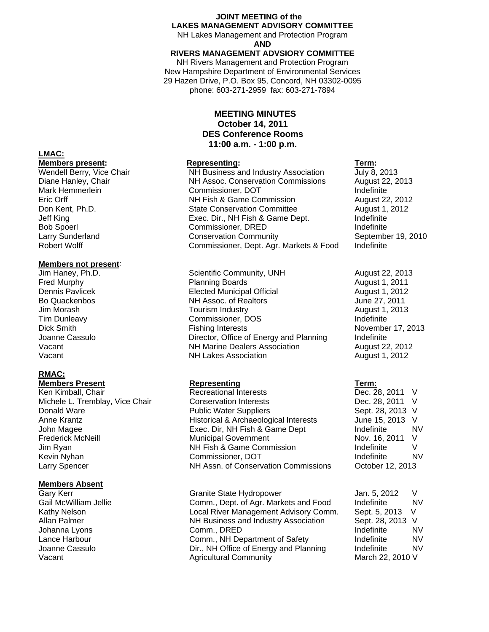#### **JOINT MEETING of the LAKES MANAGEMENT ADVISORY COMMITTEE**

NH Lakes Management and Protection Program **AND** 

#### **RIVERS MANAGEMENT ADVSIORY COMMITTEE**

NH Rivers Management and Protection Program New Hampshire Department of Environmental Services 29 Hazen Drive, P.O. Box 95, Concord, NH 03302-0095 phone: 603-271-2959 fax: 603-271-7894

### **MEETING MINUTES October 14, 2011 DES Conference Rooms 11:00 a.m. - 1:00 p.m.**

NH Business and Industry Association Diane Hanley, Chair **NH Assoc. Conservation Commissions** August 22, 2013<br>Mark Hemmerlein **National Commissioner, DOT** and the conservation of the conservation of the conservation of the Commissioner, DOT **Indefinite** Eric Orff NH Fish & Game Commission August 22, 2012 Don Kent, Ph.D. State Conservation Committee August 1, 2012 Jeff King Exec. Dir., NH Fish & Game Dept. Indefinite Bob Spoerl **Commissioner, DRED Indefinite** Larry Sunderland **Conservation Community** September 19, 2010<br>
Robert Wolff **Commissioner**, Dept. Agr. Markets & Food Indefinite Commissioner, Dept. Agr. Markets & Food

Scientific Community, UNH August 22, 2013 Fred Murphy Planning Boards August 1, 2011 Dennis Pavlicek Elected Municipal Official August 1, 2012 Bo Quackenbos NH Assoc. of Realtors June 27, 2011 Jim Morash Tourism Industry August 1, 2013 Tim Dunleavy **Commissioner, DOS** Indefinite Dick Smith Fishing Interests November 17, 2013 Joanne Cassulo **Director, Office of Energy and Planning** Indefinite Vacant **NH Marine Dealers Association** August 22, 2012 Vacant NH Lakes Association August 1, 2012

**Members Present Representing Term:** Michele L. Tremblay, Vice Chair Conservation Interests Conservation Dec. 28, 2011 V Donald Ware **Network** Sept. 28, 2013 V Public Water Suppliers Network Sept. 28, 2013 V Anne Krantz **Historical & Archaeological Interests** June 15, 2013 V John Magee **Exec. Dir, NH Fish & Game Dept** Indefinite NV Frederick McNeill **Municipal Government** Municipal Government Nov. 16, 2011 V Jim Ryan NH Fish & Game Commission and the finite V Kevin Nyhan **Commissioner, DOT** Revin Nyhan NV NV Larry Spencer **NH Assn.** of Conservation Commissions October 12, 2013

Gary Kerr Granite State Hydropower Jan. 5, 2012 V Gail McWilliam Jellie **Comm., Dept. of Agr. Markets and Food** Indefinite Kathy Nelson **Local River Management Advisory Comm.** Sept. 5, 2013 V Allan Palmer **NH Business and Industry Association** Sept. 28, 2013 V Johanna Lyons **Comm., DRED Comm.**, DRED **Indefinite** MV Lance Harbour **Comm.**, NH Department of Safety **Indefinite** NV Joanne Cassulo **Dir.**, NH Office of Energy and Planning and Endefinite NV Vacant March 22, 2010 V Agricultural Community March 22, 2010 V

## **LMAC:**

**Members present: Representing:** Representing: Term: Term: **Term: Term: Wendell Berry, Vice Chair Term: NH** Business and Industry Association **Term: July 8, 2013** 

# **Members not present:**<br>Jim Haney, Ph.D.

### **RMAC:**

Ken Kimball, Chair **Recreational Interests** 

#### **Members Absent**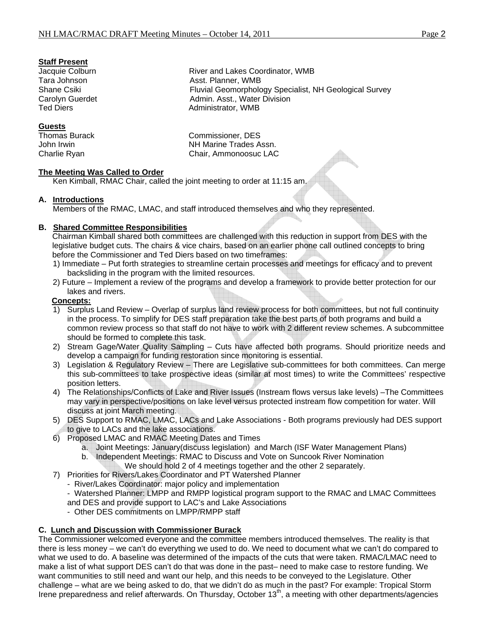#### **Staff Present**

#### **Guests**

Thomas Burack Commissioner, DES John Irwin **NH Marine Trades Assn.** Charlie Ryan Chair, Ammonoosuc LAC

**The Meeting Was Called to Order**

Ken Kimball, RMAC Chair, called the joint meeting to order at 11:15 am.

#### **A. Introductions**

Members of the RMAC, LMAC, and staff introduced themselves and who they represented.

### **B. Shared Committee Responsibilities**

Chairman Kimball shared both committees are challenged with this reduction in support from DES with the legislative budget cuts. The chairs & vice chairs, based on an earlier phone call outlined concepts to bring before the Commissioner and Ted Diers based on two timeframes:

- 1) Immediate Put forth strategies to streamline certain processes and meetings for efficacy and to prevent backsliding in the program with the limited resources.
- 2) Future Implement a review of the programs and develop a framework to provide better protection for our lakes and rivers.

#### **Concepts:**

- 1) Surplus Land Review Overlap of surplus land review process for both committees, but not full continuity in the process. To simplify for DES staff preparation take the best parts of both programs and build a common review process so that staff do not have to work with 2 different review schemes. A subcommittee should be formed to complete this task.
- 2) Stream Gage/Water Quality Sampling Cuts have affected both programs. Should prioritize needs and develop a campaign for funding restoration since monitoring is essential.
- 3) Legislation & Regulatory Review There are Legislative sub-committees for both committees. Can merge this sub-committees to take prospective ideas (similar at most times) to write the Committees' respective position letters.
- 4) The Relationships/Conflicts of Lake and River Issues (Instream flows versus lake levels) –The Committees may vary in perspective/positions on lake level versus protected instream flow competition for water. Will discuss at joint March meeting.
- 5) DES Support to RMAC, LMAC, LACs and Lake Associations Both programs previously had DES support to give to LACs and the lake associations.
- 6) Proposed LMAC and RMAC Meeting Dates and Times
	- a. Joint Meetings: January(discuss legislation) and March (ISF Water Management Plans)
	- b. Independent Meetings: RMAC to Discuss and Vote on Suncook River Nomination
		- We should hold 2 of 4 meetings together and the other 2 separately.
- 7) Priorities for Rivers/Lakes Coordinator and PT Watershed Planner
	- River/Lakes Coordinator: major policy and implementation
	- Watershed Planner: LMPP and RMPP logistical program support to the RMAC and LMAC Committees
	- and DES and provide support to LAC's and Lake Associations
	- Other DES commitments on LMPP/RMPP staff

#### **C. Lunch and Discussion with Commissioner Burack**

The Commissioner welcomed everyone and the committee members introduced themselves. The reality is that there is less money – we can't do everything we used to do. We need to document what we can't do compared to what we used to do. A baseline was determined of the impacts of the cuts that were taken. RMAC/LMAC need to make a list of what support DES can't do that was done in the past– need to make case to restore funding. We want communities to still need and want our help, and this needs to be conveyed to the Legislature. Other challenge – what are we being asked to do, that we didn't do as much in the past? For example: Tropical Storm Irene preparedness and relief afterwards. On Thursday, October 13th, a meeting with other departments/agencies

Jacquie Colburn **River and Lakes Coordinator, WMB** Tara Johnson **Asst. Planner, WMB** Shane Csiki Fluvial Geomorphology Specialist, NH Geological Survey Carolyn Guerdet **Admin.** Asst., Water Division Ted Diers **Administrator**, WMB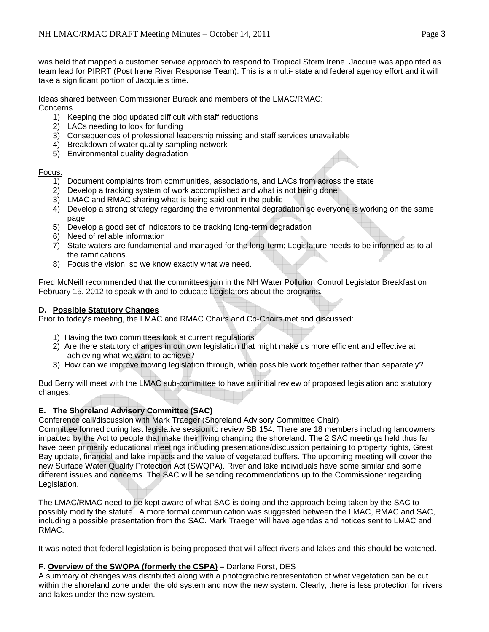was held that mapped a customer service approach to respond to Tropical Storm Irene. Jacquie was appointed as team lead for PIRRT (Post Irene River Response Team). This is a multi- state and federal agency effort and it will take a significant portion of Jacquie's time.

Ideas shared between Commissioner Burack and members of the LMAC/RMAC: Concerns

- 1) Keeping the blog updated difficult with staff reductions
- 2) LACs needing to look for funding
- 3) Consequences of professional leadership missing and staff services unavailable
- 4) Breakdown of water quality sampling network
- 5) Environmental quality degradation

#### Focus:

- 1) Document complaints from communities, associations, and LACs from across the state
- 2) Develop a tracking system of work accomplished and what is not being done
- 3) LMAC and RMAC sharing what is being said out in the public
- 4) Develop a strong strategy regarding the environmental degradation so everyone is working on the same page
- 5) Develop a good set of indicators to be tracking long-term degradation
- 6) Need of reliable information
- 7) State waters are fundamental and managed for the long-term; Legislature needs to be informed as to all the ramifications.
- 8) Focus the vision, so we know exactly what we need.

Fred McNeill recommended that the committees join in the NH Water Pollution Control Legislator Breakfast on February 15, 2012 to speak with and to educate Legislators about the programs.

### **D. Possible Statutory Changes**

Prior to today's meeting, the LMAC and RMAC Chairs and Co-Chairs met and discussed:

- 1) Having the two committees look at current regulations
- 2) Are there statutory changes in our own legislation that might make us more efficient and effective at achieving what we want to achieve?
- 3) How can we improve moving legislation through, when possible work together rather than separately?

Bud Berry will meet with the LMAC sub-committee to have an initial review of proposed legislation and statutory changes.

### **E. The Shoreland Advisory Committee (SAC)**

Conference call/discussion with Mark Traeger (Shoreland Advisory Committee Chair)

Committee formed during last legislative session to review SB 154. There are 18 members including landowners impacted by the Act to people that make their living changing the shoreland. The 2 SAC meetings held thus far have been primarily educational meetings including presentations/discussion pertaining to property rights, Great Bay update, financial and lake impacts and the value of vegetated buffers. The upcoming meeting will cover the new Surface Water Quality Protection Act (SWQPA). River and lake individuals have some similar and some different issues and concerns. The SAC will be sending recommendations up to the Commissioner regarding Legislation.

The LMAC/RMAC need to be kept aware of what SAC is doing and the approach being taken by the SAC to possibly modify the statute. A more formal communication was suggested between the LMAC, RMAC and SAC, including a possible presentation from the SAC. Mark Traeger will have agendas and notices sent to LMAC and RMAC.

It was noted that federal legislation is being proposed that will affect rivers and lakes and this should be watched.

### **F. Overview of the SWQPA (formerly the CSPA) –** Darlene Forst, DES

A summary of changes was distributed along with a photographic representation of what vegetation can be cut within the shoreland zone under the old system and now the new system. Clearly, there is less protection for rivers and lakes under the new system.